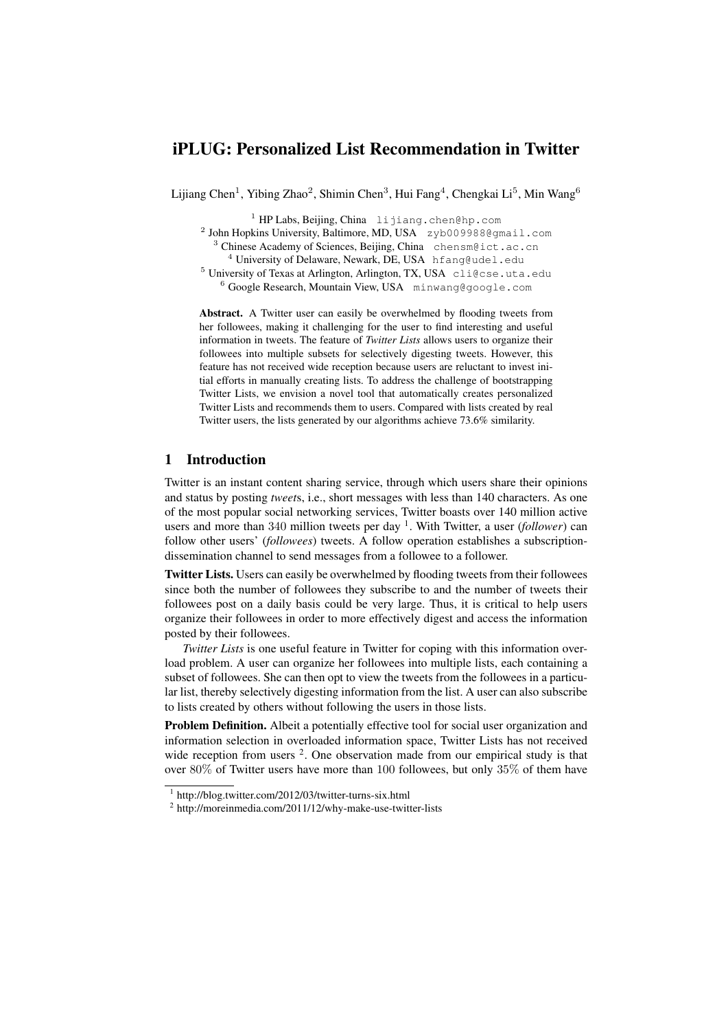# iPLUG: Personalized List Recommendation in Twitter

Lijiang Chen<sup>1</sup>, Yibing Zhao<sup>2</sup>, Shimin Chen<sup>3</sup>, Hui Fang<sup>4</sup>, Chengkai Li<sup>5</sup>, Min Wang<sup>6</sup>

<sup>1</sup> HP Labs, Beijing, China lijiang.chen@hp.com

<sup>2</sup> John Hopkins University, Baltimore, MD, USA zyb009988@gmail.com <sup>3</sup> Chinese Academy of Sciences, Beijing, China chensm@ict.ac.cn

<sup>4</sup> University of Delaware, Newark, DE, USA hfang@udel.edu

<sup>5</sup> University of Texas at Arlington, Arlington, TX, USA cli@cse.uta.edu

 $6$  Google Research, Mountain View, USA minwang@google.com

Abstract. A Twitter user can easily be overwhelmed by flooding tweets from her followees, making it challenging for the user to find interesting and useful information in tweets. The feature of *Twitter Lists* allows users to organize their followees into multiple subsets for selectively digesting tweets. However, this feature has not received wide reception because users are reluctant to invest initial efforts in manually creating lists. To address the challenge of bootstrapping Twitter Lists, we envision a novel tool that automatically creates personalized Twitter Lists and recommends them to users. Compared with lists created by real Twitter users, the lists generated by our algorithms achieve 73.6% similarity.

# 1 Introduction

Twitter is an instant content sharing service, through which users share their opinions and status by posting *tweet*s, i.e., short messages with less than 140 characters. As one of the most popular social networking services, Twitter boasts over 140 million active users and more than 340 million tweets per day <sup>1</sup>. With Twitter, a user (*follower*) can follow other users' (*followees*) tweets. A follow operation establishes a subscriptiondissemination channel to send messages from a followee to a follower.

Twitter Lists. Users can easily be overwhelmed by flooding tweets from their followees since both the number of followees they subscribe to and the number of tweets their followees post on a daily basis could be very large. Thus, it is critical to help users organize their followees in order to more effectively digest and access the information posted by their followees.

*Twitter Lists* is one useful feature in Twitter for coping with this information overload problem. A user can organize her followees into multiple lists, each containing a subset of followees. She can then opt to view the tweets from the followees in a particular list, thereby selectively digesting information from the list. A user can also subscribe to lists created by others without following the users in those lists.

Problem Definition. Albeit a potentially effective tool for social user organization and information selection in overloaded information space, Twitter Lists has not received wide reception from users  $2$ . One observation made from our empirical study is that over 80% of Twitter users have more than 100 followees, but only 35% of them have

<sup>1</sup> http://blog.twitter.com/2012/03/twitter-turns-six.html

<sup>&</sup>lt;sup>2</sup> http://moreinmedia.com/2011/12/why-make-use-twitter-lists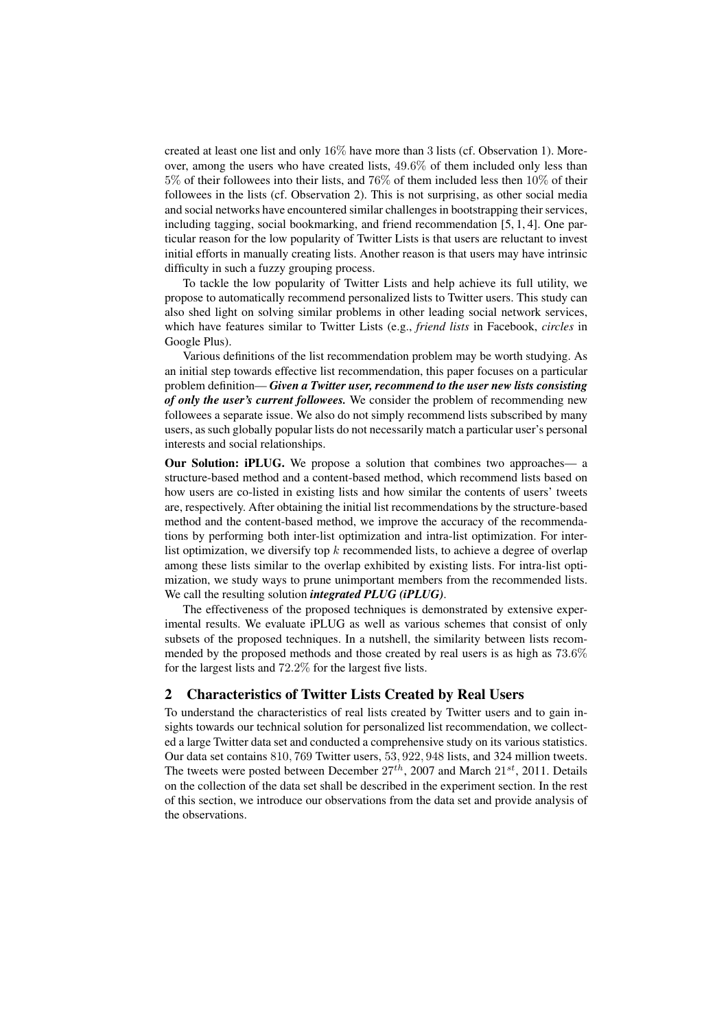created at least one list and only 16% have more than 3 lists (cf. Observation 1). Moreover, among the users who have created lists, 49*.*6% of them included only less than 5% of their followees into their lists, and 76% of them included less then 10% of their followees in the lists (cf. Observation 2). This is not surprising, as other social media and social networks have encountered similar challenges in bootstrapping their services, including tagging, social bookmarking, and friend recommendation [5, 1, 4]. One particular reason for the low popularity of Twitter Lists is that users are reluctant to invest initial efforts in manually creating lists. Another reason is that users may have intrinsic difficulty in such a fuzzy grouping process.

To tackle the low popularity of Twitter Lists and help achieve its full utility, we propose to automatically recommend personalized lists to Twitter users. This study can also shed light on solving similar problems in other leading social network services, which have features similar to Twitter Lists (e.g., *friend lists* in Facebook, *circles* in Google Plus).

Various definitions of the list recommendation problem may be worth studying. As an initial step towards effective list recommendation, this paper focuses on a particular problem definition— *Given a Twitter user, recommend to the user new lists consisting of only the user's current followees.* We consider the problem of recommending new followees a separate issue. We also do not simply recommend lists subscribed by many users, as such globally popular lists do not necessarily match a particular user's personal interests and social relationships.

Our Solution: iPLUG. We propose a solution that combines two approaches— a structure-based method and a content-based method, which recommend lists based on how users are co-listed in existing lists and how similar the contents of users' tweets are, respectively. After obtaining the initial list recommendations by the structure-based method and the content-based method, we improve the accuracy of the recommendations by performing both inter-list optimization and intra-list optimization. For interlist optimization, we diversify top *k* recommended lists, to achieve a degree of overlap among these lists similar to the overlap exhibited by existing lists. For intra-list optimization, we study ways to prune unimportant members from the recommended lists. We call the resulting solution *integrated PLUG (iPLUG)*.

The effectiveness of the proposed techniques is demonstrated by extensive experimental results. We evaluate iPLUG as well as various schemes that consist of only subsets of the proposed techniques. In a nutshell, the similarity between lists recommended by the proposed methods and those created by real users is as high as 73*.*6% for the largest lists and 72*.*2% for the largest five lists.

# 2 Characteristics of Twitter Lists Created by Real Users

To understand the characteristics of real lists created by Twitter users and to gain insights towards our technical solution for personalized list recommendation, we collected a large Twitter data set and conducted a comprehensive study on its various statistics. Our data set contains 810*,* 769 Twitter users, 53*,* 922*,* 948 lists, and 324 million tweets. The tweets were posted between December 27*th*, 2007 and March 21*st*, 2011. Details on the collection of the data set shall be described in the experiment section. In the rest of this section, we introduce our observations from the data set and provide analysis of the observations.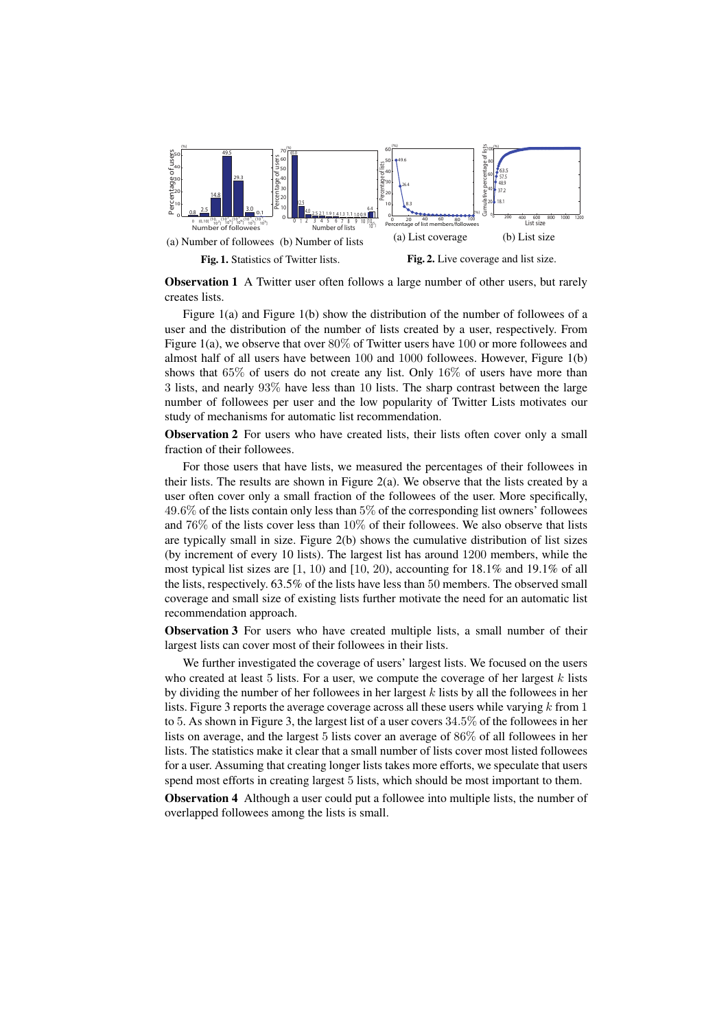

Observation 1 A Twitter user often follows a large number of other users, but rarely creates lists.

Figure 1(a) and Figure 1(b) show the distribution of the number of followees of a user and the distribution of the number of lists created by a user, respectively. From Figure 1(a), we observe that over 80% of Twitter users have 100 or more followees and almost half of all users have between 100 and 1000 followees. However, Figure 1(b) shows that 65% of users do not create any list. Only 16% of users have more than 3 lists, and nearly 93% have less than 10 lists. The sharp contrast between the large number of followees per user and the low popularity of Twitter Lists motivates our study of mechanisms for automatic list recommendation.

Observation 2 For users who have created lists, their lists often cover only a small fraction of their followees.

For those users that have lists, we measured the percentages of their followees in their lists. The results are shown in Figure  $2(a)$ . We observe that the lists created by a user often cover only a small fraction of the followees of the user. More specifically, 49*.*6% of the lists contain only less than 5% of the corresponding list owners' followees and 76% of the lists cover less than 10% of their followees. We also observe that lists are typically small in size. Figure 2(b) shows the cumulative distribution of list sizes (by increment of every 10 lists). The largest list has around 1200 members, while the most typical list sizes are [1, 10) and [10, 20), accounting for 18.1% and 19.1% of all the lists, respectively. 63.5% of the lists have less than 50 members. The observed small coverage and small size of existing lists further motivate the need for an automatic list recommendation approach.

Observation 3 For users who have created multiple lists, a small number of their largest lists can cover most of their followees in their lists.

We further investigated the coverage of users' largest lists. We focused on the users who created at least 5 lists. For a user, we compute the coverage of her largest *k* lists by dividing the number of her followees in her largest *k* lists by all the followees in her lists. Figure 3 reports the average coverage across all these users while varying *k* from 1 to 5. As shown in Figure 3, the largest list of a user covers 34*.*5% of the followees in her lists on average, and the largest 5 lists cover an average of 86% of all followees in her lists. The statistics make it clear that a small number of lists cover most listed followees for a user. Assuming that creating longer lists takes more efforts, we speculate that users spend most efforts in creating largest 5 lists, which should be most important to them.

Observation 4 Although a user could put a followee into multiple lists, the number of overlapped followees among the lists is small.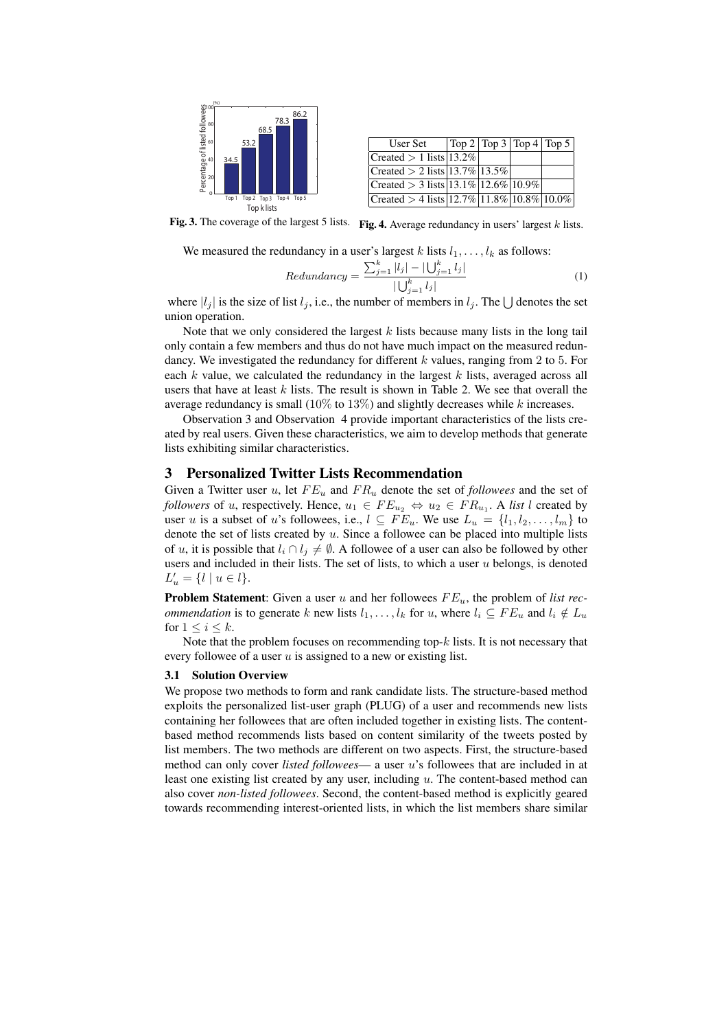

| User Set                                          |  | Top 2   Top 3   Top 4   Top 5 |
|---------------------------------------------------|--|-------------------------------|
| Created $> 1$ lists   13.2%                       |  |                               |
| Created > 2 lists $ 13.7\% 13.5\% $               |  |                               |
| Created > 3 lists $13.1\%$ $12.6\%$ $10.9\%$      |  |                               |
| Created > 4 lists $ 12.7\% 11.8\% 10.8\% 10.0\% $ |  |                               |

Fig. 3. The coverage of the largest 5 lists. Fig. 4. Average redundancy in users' largest *k* lists.

We measured the redundancy in a user's largest *k* lists  $l_1, \ldots, l_k$  as follows:

$$
Redundancy = \frac{\sum_{j=1}^{k} |l_j| - |\bigcup_{j=1}^{k} l_j|}{|\bigcup_{j=1}^{k} l_j|}
$$
\n(1)

where  $|l_j|$  is the size of list  $l_j$ , i.e., the number of members in  $l_j$ . The  $\bigcup$  denotes the set union operation.

Note that we only considered the largest *k* lists because many lists in the long tail only contain a few members and thus do not have much impact on the measured redundancy. We investigated the redundancy for different *k* values, ranging from 2 to 5. For each *k* value, we calculated the redundancy in the largest *k* lists, averaged across all users that have at least *k* lists. The result is shown in Table 2. We see that overall the average redundancy is small (10% to 13%) and slightly decreases while *k* increases.

Observation 3 and Observation 4 provide important characteristics of the lists created by real users. Given these characteristics, we aim to develop methods that generate lists exhibiting similar characteristics.

# 3 Personalized Twitter Lists Recommendation

Given a Twitter user *u*, let *F E<sup>u</sup>* and *F R<sup>u</sup>* denote the set of *followees* and the set of *followers* of *u*, respectively. Hence,  $u_1 \in FE_{u_2} \Leftrightarrow u_2 \in FR_{u_1}$ . A *list l* created by user *u* is a subset of *u*'s followees, i.e.,  $l \subseteq FE_u$ . We use  $L_u = \{l_1, l_2, \ldots, l_m\}$  to denote the set of lists created by *u*. Since a followee can be placed into multiple lists of *u*, it is possible that  $l_i \cap l_j \neq \emptyset$ . A followee of a user can also be followed by other users and included in their lists. The set of lists, to which a user *u* belongs, is denoted  $L'_u = \{l \mid u \in l\}.$ 

Problem Statement: Given a user *u* and her followees *F Eu*, the problem of *list recommendation* is to generate *k* new lists  $l_1, \ldots, l_k$  for *u*, where  $l_i \subseteq FE_u$  and  $l_i \notin L_u$ for  $1 \leq i \leq k$ .

Note that the problem focuses on recommending top-*k* lists. It is not necessary that every followee of a user *u* is assigned to a new or existing list.

#### 3.1 Solution Overview

We propose two methods to form and rank candidate lists. The structure-based method exploits the personalized list-user graph (PLUG) of a user and recommends new lists containing her followees that are often included together in existing lists. The contentbased method recommends lists based on content similarity of the tweets posted by list members. The two methods are different on two aspects. First, the structure-based method can only cover *listed followees*— a user *u*'s followees that are included in at least one existing list created by any user, including *u*. The content-based method can also cover *non-listed followees*. Second, the content-based method is explicitly geared towards recommending interest-oriented lists, in which the list members share similar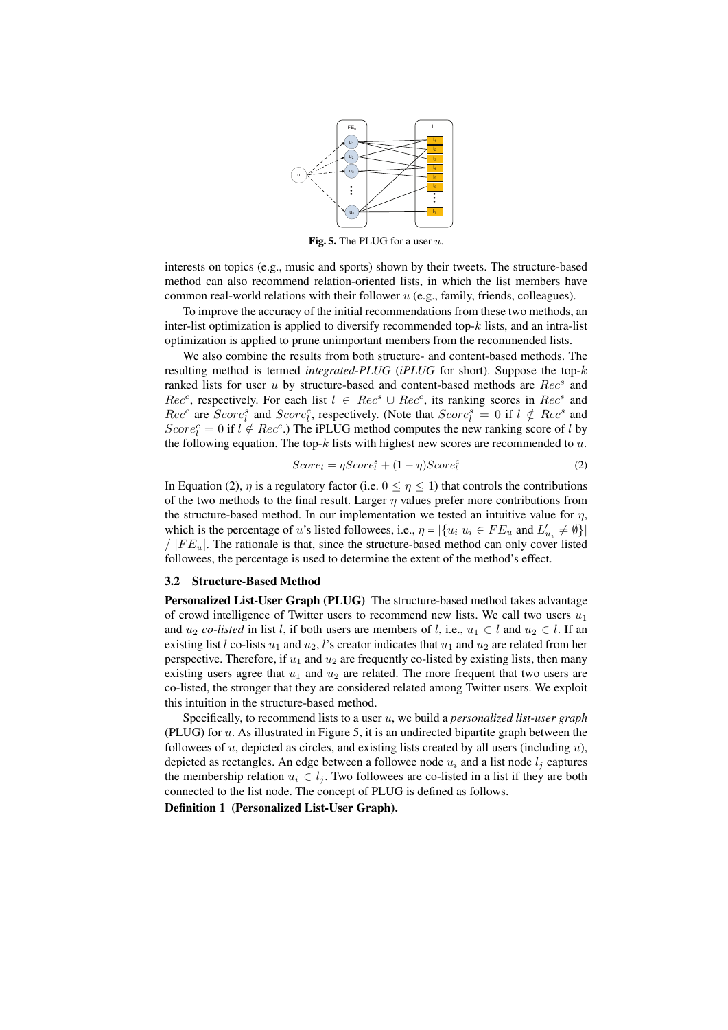

Fig. 5. The PLUG for a user *u*.

interests on topics (e.g., music and sports) shown by their tweets. The structure-based method can also recommend relation-oriented lists, in which the list members have common real-world relations with their follower *u* (e.g., family, friends, colleagues).

To improve the accuracy of the initial recommendations from these two methods, an inter-list optimization is applied to diversify recommended top-*k* lists, and an intra-list optimization is applied to prune unimportant members from the recommended lists.

We also combine the results from both structure- and content-based methods. The resulting method is termed *integrated-PLUG* (*iPLUG* for short). Suppose the top-*k* ranked lists for user *u* by structure-based and content-based methods are *Rec<sup>s</sup>* and *Rec<sup>c</sup>*, respectively. For each list  $l$  ∈ *Rec<sup>s</sup>* ∪ *Rec<sup>c</sup>*, its ranking scores in *Rec<sup>s</sup>* and *Rec<sup>c</sup>* are *Score*<sup>*s*</sup><sub>*l*</sub> and *Score*<sup>*c*</sup><sub>*l*</sub>, respectively. (Note that *Score*<sup>*s*</sup><sub>*l*</sub> = 0 if *l*  $\notin$  *Rec<sup><i>s*</sup> and  $Score^c_l = 0$  if  $l \notin Rec^c$ .) The iPLUG method computes the new ranking score of *l* by the following equation. The top-*k* lists with highest new scores are recommended to *u*.

$$
Score_l = \eta Score_l^s + (1 - \eta) Score_l^c \tag{2}
$$

In Equation (2),  $\eta$  is a regulatory factor (i.e.  $0 \leq \eta \leq 1$ ) that controls the contributions of the two methods to the final result. Larger  $\eta$  values prefer more contributions from the structure-based method. In our implementation we tested an intuitive value for  $\eta$ , which is the percentage of *u*'s listed followees, i.e.,  $\eta = |\{u_i | u_i \in FE_u \text{ and } L'_{u_i} \neq \emptyset\}|$  $/$   $|FE_u|$ . The rationale is that, since the structure-based method can only cover listed followees, the percentage is used to determine the extent of the method's effect.

#### 3.2 Structure-Based Method

Personalized List-User Graph (PLUG) The structure-based method takes advantage of crowd intelligence of Twitter users to recommend new lists. We call two users  $u_1$ and  $u_2$  *co-listed* in list *l*, if both users are members of *l*, i.e.,  $u_1 \in l$  and  $u_2 \in l$ . If an existing list *l* co-lists  $u_1$  and  $u_2$ , *l*'s creator indicates that  $u_1$  and  $u_2$  are related from her perspective. Therefore, if  $u_1$  and  $u_2$  are frequently co-listed by existing lists, then many existing users agree that  $u_1$  and  $u_2$  are related. The more frequent that two users are co-listed, the stronger that they are considered related among Twitter users. We exploit this intuition in the structure-based method.

Specifically, to recommend lists to a user *u*, we build a *personalized list-user graph* (PLUG) for *u*. As illustrated in Figure 5, it is an undirected bipartite graph between the followees of *u*, depicted as circles, and existing lists created by all users (including *u*), depicted as rectangles. An edge between a followee node  $u_i$  and a list node  $l_i$  captures the membership relation  $u_i \in l_i$ . Two followees are co-listed in a list if they are both connected to the list node. The concept of PLUG is defined as follows.

Definition 1 (Personalized List-User Graph).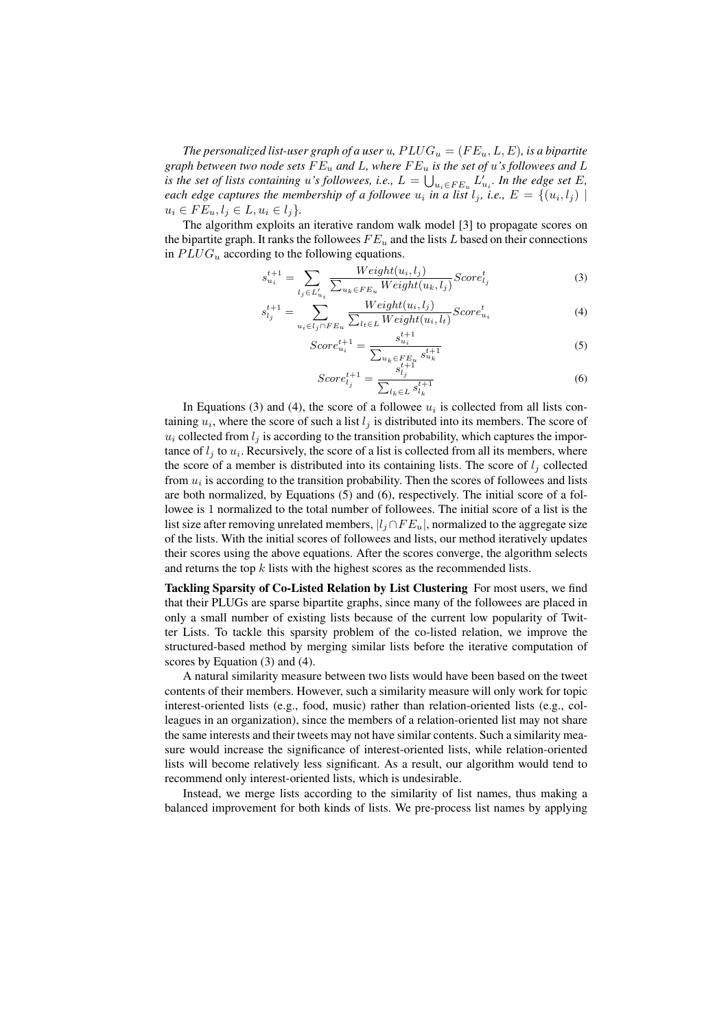*The personalized list-user graph of a user*  $u$ ,  $PLUG_u = (FE_u, L, E)$ , is a bipartite *graph between two node sets F E<sup>u</sup> and L, where F E<sup>u</sup> is the set of u's followees and L is the set of lists containing u*<sup>*'s*</sup> followees, *i.e.*,  $L = \bigcup_{u_i \in F E_u} L'_{u_i}$ . In the edge set  $E$ , *each edge captures the membership of a followee*  $u_i$  *in a list*  $l_j$ *, i.e.,*  $E = \{(u_i, l_j) \mid$  $u_i \in FE_u, l_i \in L, u_i \in l_i$ 

The algorithm exploits an iterative random walk model [3] to propagate scores on the bipartite graph. It ranks the followees  $FE_u$  and the lists *L* based on their connections in  $PLUG_u$  according to the following equations.

$$
s_{u_i}^{t+1} = \sum_{l_j \in L'_{u_i}} \frac{Weight(u_i, l_j)}{\sum_{u_k \in FE_u Weight(u_k, l_j)} Score_{l_j}^t} Score_{l_j}^t
$$
\n
$$
(3)
$$

$$
s_{l_j}^{t+1} = \sum_{u_i \in l_j \cap FE_u} \frac{Weight(u_i, l_j)}{\sum_{l_t \in L} Weight(u_i, l_t)} Score_{u_i}^t
$$
(4)

$$
Score_{u_i}^{t+1} = \frac{s_{u_i}^{t+1}}{\sum_{u_k \in FE_i} s_{u_k}^{t+1}} \tag{5}
$$

$$
Score_{l_j}^{t+1} = \frac{s_{l_j}^{t+1}}{\sum_{l_k \in L} s_{l_k}^{t+1}}
$$
(6)

In Equations (3) and (4), the score of a followee  $u_i$  is collected from all lists containing  $u_i$ , where the score of such a list  $l_j$  is distributed into its members. The score of  $u_i$  collected from  $l_i$  is according to the transition probability, which captures the importance of  $l_j$  to  $u_i$ . Recursively, the score of a list is collected from all its members, where the score of a member is distributed into its containing lists. The score of  $l_i$  collected from  $u_i$  is according to the transition probability. Then the scores of followees and lists are both normalized, by Equations (5) and (6), respectively. The initial score of a followee is 1 normalized to the total number of followees. The initial score of a list is the list size after removing unrelated members,  $|l_j \cap FE_u|$ , normalized to the aggregate size of the lists. With the initial scores of followees and lists, our method iteratively updates their scores using the above equations. After the scores converge, the algorithm selects and returns the top *k* lists with the highest scores as the recommended lists.

Tackling Sparsity of Co-Listed Relation by List Clustering For most users, we find that their PLUGs are sparse bipartite graphs, since many of the followees are placed in only a small number of existing lists because of the current low popularity of Twitter Lists. To tackle this sparsity problem of the co-listed relation, we improve the structured-based method by merging similar lists before the iterative computation of scores by Equation (3) and (4).

A natural similarity measure between two lists would have been based on the tweet contents of their members. However, such a similarity measure will only work for topic interest-oriented lists (e.g., food, music) rather than relation-oriented lists (e.g., colleagues in an organization), since the members of a relation-oriented list may not share the same interests and their tweets may not have similar contents. Such a similarity measure would increase the significance of interest-oriented lists, while relation-oriented lists will become relatively less significant. As a result, our algorithm would tend to recommend only interest-oriented lists, which is undesirable.

Instead, we merge lists according to the similarity of list names, thus making a balanced improvement for both kinds of lists. We pre-process list names by applying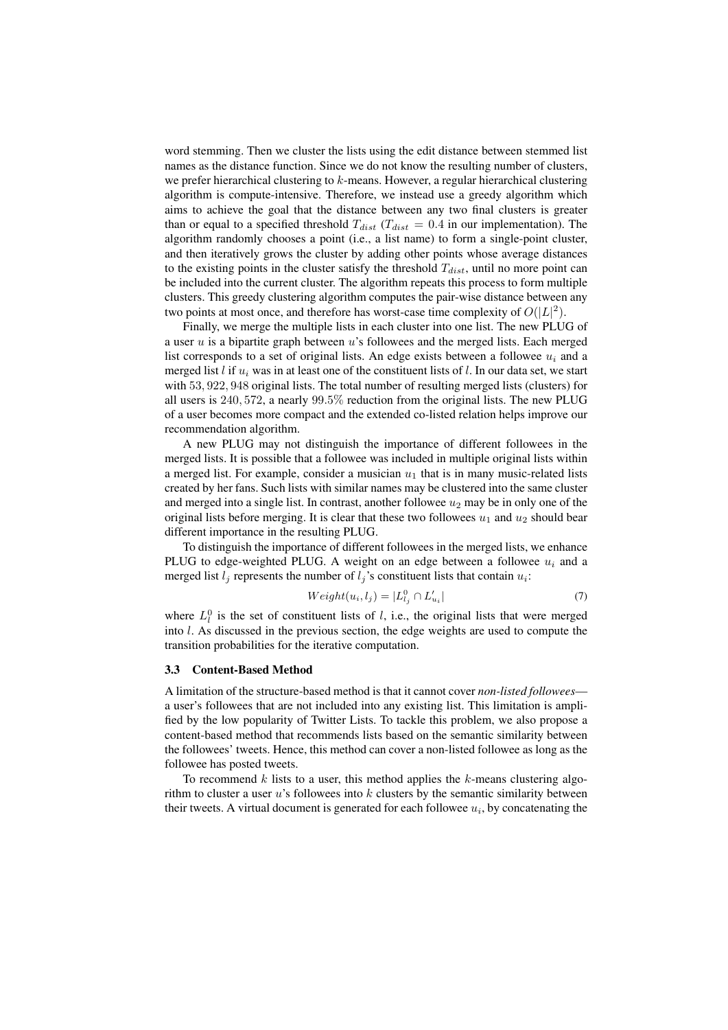word stemming. Then we cluster the lists using the edit distance between stemmed list names as the distance function. Since we do not know the resulting number of clusters, we prefer hierarchical clustering to *k*-means. However, a regular hierarchical clustering algorithm is compute-intensive. Therefore, we instead use a greedy algorithm which aims to achieve the goal that the distance between any two final clusters is greater than or equal to a specified threshold  $T_{dist}$  ( $T_{dist} = 0.4$  in our implementation). The algorithm randomly chooses a point (i.e., a list name) to form a single-point cluster, and then iteratively grows the cluster by adding other points whose average distances to the existing points in the cluster satisfy the threshold *Tdist*, until no more point can be included into the current cluster. The algorithm repeats this process to form multiple clusters. This greedy clustering algorithm computes the pair-wise distance between any two points at most once, and therefore has worst-case time complexity of  $O(|L|^2)$ .

Finally, we merge the multiple lists in each cluster into one list. The new PLUG of a user *u* is a bipartite graph between *u*'s followees and the merged lists. Each merged list corresponds to a set of original lists. An edge exists between a followee *u<sup>i</sup>* and a merged list *l* if *u<sup>i</sup>* was in at least one of the constituent lists of *l*. In our data set, we start with 53*,* 922*,* 948 original lists. The total number of resulting merged lists (clusters) for all users is 240*,* 572, a nearly 99*.*5% reduction from the original lists. The new PLUG of a user becomes more compact and the extended co-listed relation helps improve our recommendation algorithm.

A new PLUG may not distinguish the importance of different followees in the merged lists. It is possible that a followee was included in multiple original lists within a merged list. For example, consider a musician  $u_1$  that is in many music-related lists created by her fans. Such lists with similar names may be clustered into the same cluster and merged into a single list. In contrast, another followee  $u_2$  may be in only one of the original lists before merging. It is clear that these two followees  $u_1$  and  $u_2$  should bear different importance in the resulting PLUG.

To distinguish the importance of different followees in the merged lists, we enhance PLUG to edge-weighted PLUG. A weight on an edge between a followee  $u_i$  and a merged list  $l_j$  represents the number of  $l_j$ 's constituent lists that contain  $u_i$ :

$$
Weight(u_i, l_j) = |L_{l_j}^0 \cap L_{u_i}'|
$$
\n<sup>(7)</sup>

where  $L_l^0$  is the set of constituent lists of *l*, i.e., the original lists that were merged into *l*. As discussed in the previous section, the edge weights are used to compute the transition probabilities for the iterative computation.

#### 3.3 Content-Based Method

A limitation of the structure-based method is that it cannot cover *non-listed followees* a user's followees that are not included into any existing list. This limitation is amplified by the low popularity of Twitter Lists. To tackle this problem, we also propose a content-based method that recommends lists based on the semantic similarity between the followees' tweets. Hence, this method can cover a non-listed followee as long as the followee has posted tweets.

To recommend *k* lists to a user, this method applies the *k*-means clustering algorithm to cluster a user *u*'s followees into *k* clusters by the semantic similarity between their tweets. A virtual document is generated for each followee *u<sup>i</sup>* , by concatenating the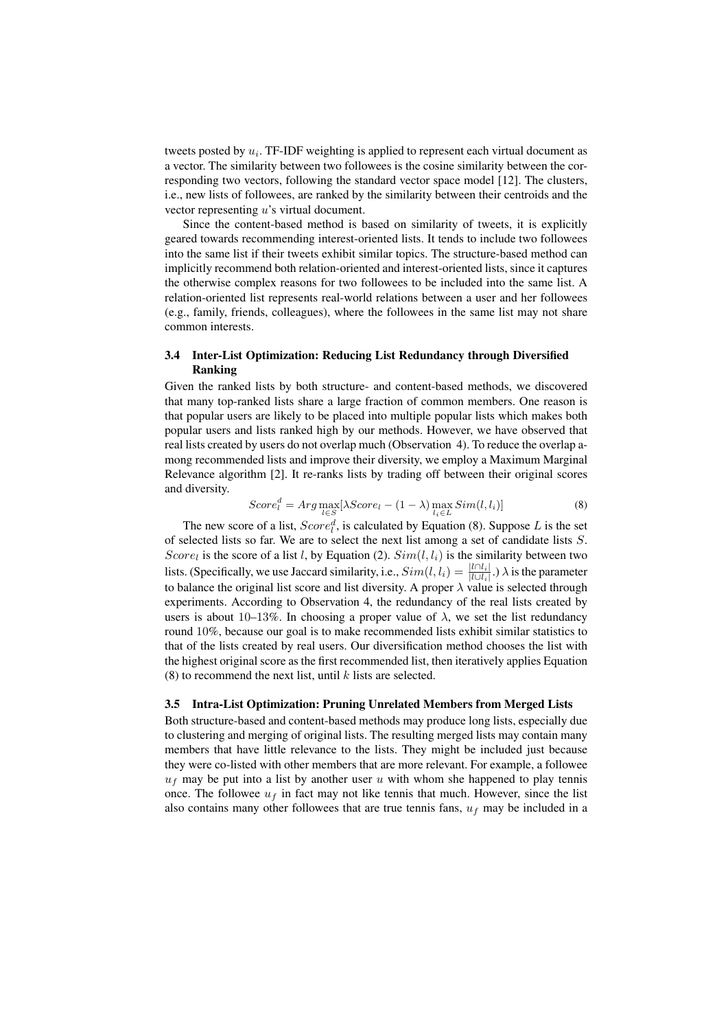tweets posted by *u<sup>i</sup>* . TF-IDF weighting is applied to represent each virtual document as a vector. The similarity between two followees is the cosine similarity between the corresponding two vectors, following the standard vector space model [12]. The clusters, i.e., new lists of followees, are ranked by the similarity between their centroids and the vector representing *u*'s virtual document.

Since the content-based method is based on similarity of tweets, it is explicitly geared towards recommending interest-oriented lists. It tends to include two followees into the same list if their tweets exhibit similar topics. The structure-based method can implicitly recommend both relation-oriented and interest-oriented lists, since it captures the otherwise complex reasons for two followees to be included into the same list. A relation-oriented list represents real-world relations between a user and her followees (e.g., family, friends, colleagues), where the followees in the same list may not share common interests.

## 3.4 Inter-List Optimization: Reducing List Redundancy through Diversified Ranking

Given the ranked lists by both structure- and content-based methods, we discovered that many top-ranked lists share a large fraction of common members. One reason is that popular users are likely to be placed into multiple popular lists which makes both popular users and lists ranked high by our methods. However, we have observed that real lists created by users do not overlap much (Observation 4). To reduce the overlap among recommended lists and improve their diversity, we employ a Maximum Marginal Relevance algorithm [2]. It re-ranks lists by trading off between their original scores and diversity.

$$
Score_l^d = Arg \max_{l \in S} [\lambda Score_l - (1 - \lambda) \max_{l_i \in L} Sim(l, l_i)] \tag{8}
$$

The new score of a list,  $Score_l^d$ , is calculated by Equation (8). Suppose *L* is the set of selected lists so far. We are to select the next list among a set of candidate lists *S*. *Score*<sub>l</sub> is the score of a list *l*, by Equation (2).  $Sim(l, l_i)$  is the similarity between two lists. (Specifically, we use Jaccard similarity, i.e.,  $Sim(l, l_i) = \frac{|l \cap l_i|}{|l \cup l_i|}$ .)  $\lambda$  is the parameter to balance the original list score and list diversity. A proper *λ* value is selected through experiments. According to Observation 4, the redundancy of the real lists created by users is about  $10-13\%$ . In choosing a proper value of  $\lambda$ , we set the list redundancy round 10%, because our goal is to make recommended lists exhibit similar statistics to that of the lists created by real users. Our diversification method chooses the list with the highest original score as the first recommended list, then iteratively applies Equation (8) to recommend the next list, until *k* lists are selected.

### 3.5 Intra-List Optimization: Pruning Unrelated Members from Merged Lists

Both structure-based and content-based methods may produce long lists, especially due to clustering and merging of original lists. The resulting merged lists may contain many members that have little relevance to the lists. They might be included just because they were co-listed with other members that are more relevant. For example, a followee  $u_f$  may be put into a list by another user  $u$  with whom she happened to play tennis once. The followee  $u_f$  in fact may not like tennis that much. However, since the list also contains many other followees that are true tennis fans, *u<sup>f</sup>* may be included in a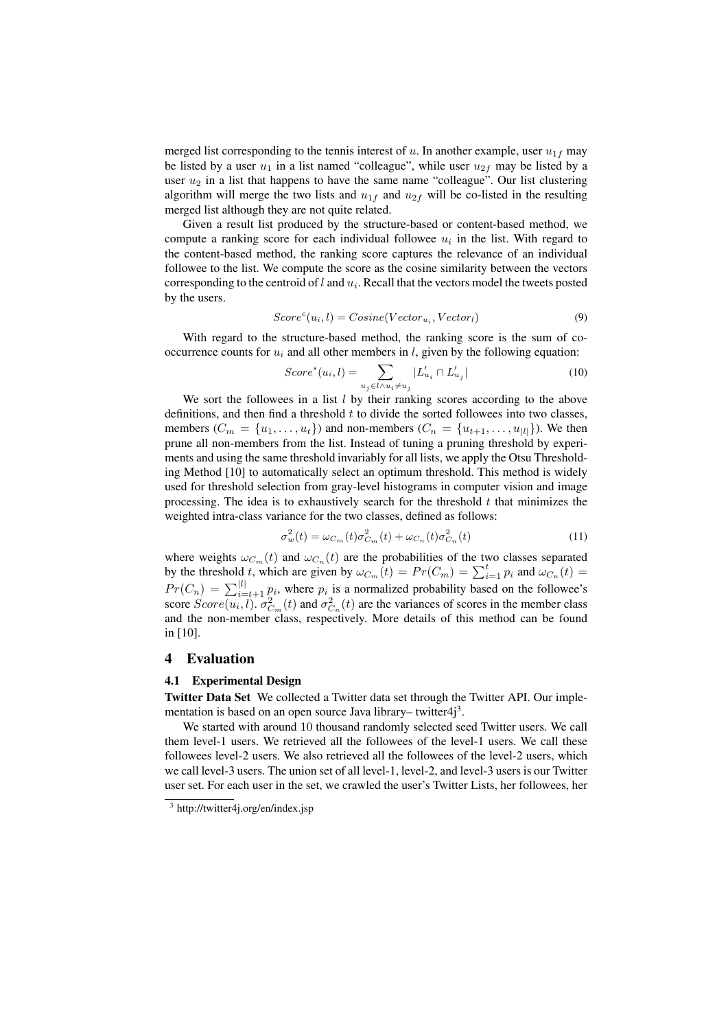merged list corresponding to the tennis interest of  $u$ . In another example, user  $u_{1f}$  may be listed by a user  $u_1$  in a list named "colleague", while user  $u_{2f}$  may be listed by a user  $u_2$  in a list that happens to have the same name "colleague". Our list clustering algorithm will merge the two lists and  $u_{1f}$  and  $u_{2f}$  will be co-listed in the resulting merged list although they are not quite related.

Given a result list produced by the structure-based or content-based method, we compute a ranking score for each individual followee  $u_i$  in the list. With regard to the content-based method, the ranking score captures the relevance of an individual followee to the list. We compute the score as the cosine similarity between the vectors corresponding to the centroid of *l* and *u<sup>i</sup>* . Recall that the vectors model the tweets posted by the users.

$$
Scorec(ui, l) = Cosine(Vectorui, Vectorl)
$$
\n(9)

With regard to the structure-based method, the ranking score is the sum of cooccurrence counts for  $u_i$  and all other members in *l*, given by the following equation:

$$
Score^{s}(u_i, l) = \sum_{u_j \in l \wedge u_i \neq u_j} |L'_{u_i} \cap L'_{u_j}|
$$
\n
$$
(10)
$$

We sort the followees in a list *l* by their ranking scores according to the above definitions, and then find a threshold *t* to divide the sorted followees into two classes, members  $(C_m = \{u_1, \ldots, u_t\})$  and non-members  $(C_n = \{u_{t+1}, \ldots, u_{|l|}\})$ . We then prune all non-members from the list. Instead of tuning a pruning threshold by experiments and using the same threshold invariably for all lists, we apply the Otsu Thresholding Method [10] to automatically select an optimum threshold. This method is widely used for threshold selection from gray-level histograms in computer vision and image processing. The idea is to exhaustively search for the threshold *t* that minimizes the weighted intra-class variance for the two classes, defined as follows:

$$
\sigma_w^2(t) = \omega_{C_m}(t)\sigma_{C_m}^2(t) + \omega_{C_n}(t)\sigma_{C_n}^2(t)
$$
\n(11)

where weights  $\omega_{C_m}(t)$  and  $\omega_{C_n}(t)$  are the probabilities of the two classes separated by the threshold *t*, which are given by  $\omega_{C_m}(t) = Pr(C_m) = \sum_{i=1}^t p_i$  and  $\omega_{C_n}(t) =$  $Pr(C_n) = \sum_{i=t+1}^{|l|} p_i$ , where  $p_i$  is a normalized probability based on the followee's score  $Score(u_i, l)$ .  $\sigma_{C_m}^2(t)$  and  $\sigma_{C_n}^2(t)$  are the variances of scores in the member class and the non-member class, respectively. More details of this method can be found in [10].

## 4 Evaluation

# 4.1 Experimental Design

Twitter Data Set We collected a Twitter data set through the Twitter API. Our implementation is based on an open source Java library– twitter4j<sup>3</sup>.

We started with around 10 thousand randomly selected seed Twitter users. We call them level-1 users. We retrieved all the followees of the level-1 users. We call these followees level-2 users. We also retrieved all the followees of the level-2 users, which we call level-3 users. The union set of all level-1, level-2, and level-3 users is our Twitter user set. For each user in the set, we crawled the user's Twitter Lists, her followees, her

<sup>3</sup> http://twitter4j.org/en/index.jsp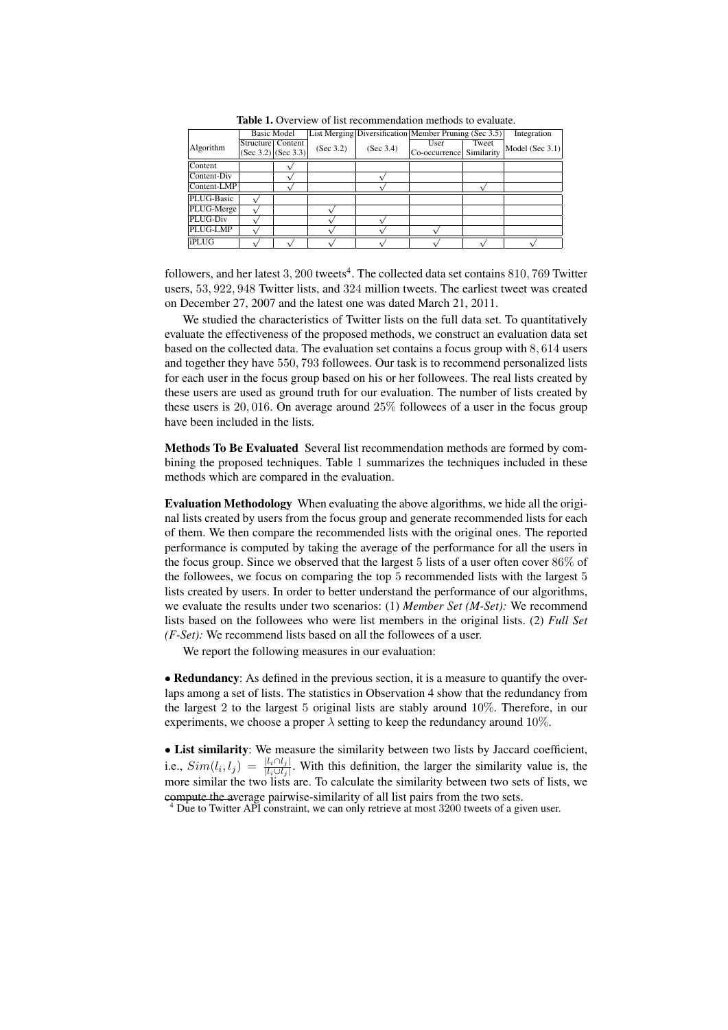|              |                       | <b>Basic Model</b> |           |           | List Merging Diversification Member Pruning (Sec 3.5) |            | Integration     |
|--------------|-----------------------|--------------------|-----------|-----------|-------------------------------------------------------|------------|-----------------|
| Algorithm    | Structure Content     |                    | (Sec 3.2) | (Sec 3.4) | User                                                  | Tweet      | Model (Sec 3.1) |
|              | $(Sec 3.2)$ (Sec 3.3) |                    |           |           | Co-occurrence                                         | Similarity |                 |
| Content      |                       |                    |           |           |                                                       |            |                 |
| Content-Div  |                       |                    |           |           |                                                       |            |                 |
| Content-LMP  |                       |                    |           |           |                                                       |            |                 |
| PLUG-Basic   |                       |                    |           |           |                                                       |            |                 |
| PLUG-Merge   |                       |                    |           |           |                                                       |            |                 |
| PLUG-Div     |                       |                    |           |           |                                                       |            |                 |
| PLUG-LMP     |                       |                    |           |           |                                                       |            |                 |
| <b>iPLUG</b> |                       |                    |           |           |                                                       |            |                 |

Table 1. Overview of list recommendation methods to evaluate.

followers, and her latest 3, 200 tweets<sup>4</sup>. The collected data set contains 810, 769 Twitter users, 53*,* 922*,* 948 Twitter lists, and 324 million tweets. The earliest tweet was created on December 27, 2007 and the latest one was dated March 21, 2011.

We studied the characteristics of Twitter lists on the full data set. To quantitatively evaluate the effectiveness of the proposed methods, we construct an evaluation data set based on the collected data. The evaluation set contains a focus group with 8*,* 614 users and together they have 550*,* 793 followees. Our task is to recommend personalized lists for each user in the focus group based on his or her followees. The real lists created by these users are used as ground truth for our evaluation. The number of lists created by these users is 20*,* 016. On average around 25% followees of a user in the focus group have been included in the lists.

Methods To Be Evaluated Several list recommendation methods are formed by combining the proposed techniques. Table 1 summarizes the techniques included in these methods which are compared in the evaluation.

Evaluation Methodology When evaluating the above algorithms, we hide all the original lists created by users from the focus group and generate recommended lists for each of them. We then compare the recommended lists with the original ones. The reported performance is computed by taking the average of the performance for all the users in the focus group. Since we observed that the largest 5 lists of a user often cover 86% of the followees, we focus on comparing the top 5 recommended lists with the largest 5 lists created by users. In order to better understand the performance of our algorithms, we evaluate the results under two scenarios: (1) *Member Set (M-Set):* We recommend lists based on the followees who were list members in the original lists. (2) *Full Set (F-Set):* We recommend lists based on all the followees of a user.

We report the following measures in our evaluation:

• **Redundancy**: As defined in the previous section, it is a measure to quantify the overlaps among a set of lists. The statistics in Observation 4 show that the redundancy from the largest 2 to the largest 5 original lists are stably around 10%. Therefore, in our experiments, we choose a proper  $\lambda$  setting to keep the redundancy around 10%.

• List similarity: We measure the similarity between two lists by Jaccard coefficient, i.e.,  $Sim(l_i, l_j) = \frac{|l_i \cap l_j|}{|l_i \cup l_j|}$ . With this definition, the larger the similarity value is, the more similar the two lists are. To calculate the similarity between two sets of lists, we compute the average pairwise-similarity of all list pairs from the two sets.

<sup>4</sup> Due to Twitter API constraint, we can only retrieve at most 3200 tweets of a given user.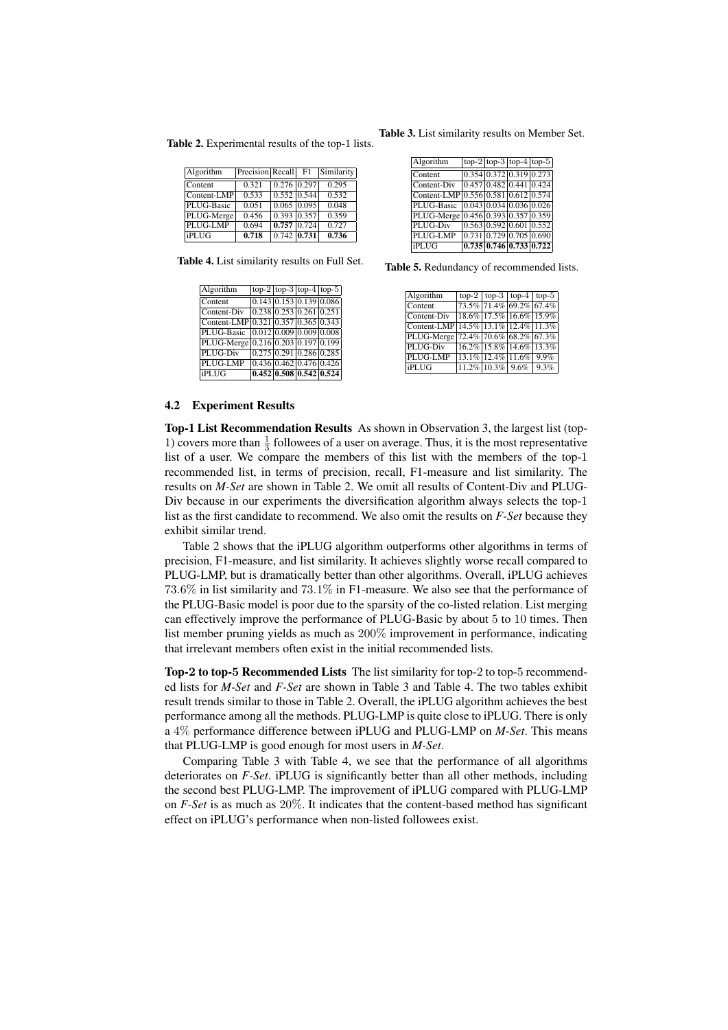Table 2. Experimental results of the top-1 lists.

| Algorithm   | Precision Recall |                   | F1 | Similarity |
|-------------|------------------|-------------------|----|------------|
| Content     | 0.321            | $0.276$ 0.297     |    | 0.295      |
| Content-LMP | 0.533            | $0.552$ 0.544     |    | 0.532      |
| PLUG-Basic  | 0.051            | $0.065$ $ 0.095 $ |    | 0.048      |
| PLUG-Merge  | 0.456            | $0.393$ 0.357     |    | 0.359      |
| PLUG-LMP    | 0.694            | $0.757$ 0.724     |    | 0.727      |
| iPLUG       | 0.718            | $0.742$ 0.731     |    | 0.736      |

Table 4. List similarity results on Full Set.

| Algorithm                           | $\log_{2}$ top-3 top-4 top-5       |  |  |
|-------------------------------------|------------------------------------|--|--|
| Content                             | [0.143] 0.153] 0.139] 0.086        |  |  |
| Content-Div                         | $0.238 \, 0.253 \, 0.261 \, 0.251$ |  |  |
| Content-LMP 0.321 0.357 0.365 0.343 |                                    |  |  |
| PLUG-Basic                          | [0.012] 0.009] 0.009] 0.008        |  |  |
| PLUG-Merge                          | $0.216 \, 0.203 \, 0.197 \, 0.199$ |  |  |
| PLUG-Div                            | $0.275$ 0.291 0.286 0.285          |  |  |
| PLUG-LMP                            | $0.436 \, 0.462 \, 0.476 \, 0.426$ |  |  |
| <b>iPLUG</b>                        | $0.452$ 0.508 0.542 0.524          |  |  |

Table 3. List similarity results on Member Set.

| <b>iPLUG</b>                        |                                                         |  | $\boxed{0.735 \mid 0.746 \mid 0.733 \mid 0.722}$ |
|-------------------------------------|---------------------------------------------------------|--|--------------------------------------------------|
| PLUG-LMP                            | $\left  0.731 \right  0.729 \left  0.705 \right  0.690$ |  |                                                  |
| PLUG-Div                            | $0.563 \, 0.592 \, 0.601 \, 0.552$                      |  |                                                  |
| PLUG-Merge 0.456 0.393 0.357 0.359  |                                                         |  |                                                  |
| PLUG-Basic                          | 0.043 0.034 0.036 0.026                                 |  |                                                  |
| Content-LMP 0.556 0.581 0.612 0.574 |                                                         |  |                                                  |
| Content-Div                         | $0.457$ 0.482 0.441 0.424                               |  |                                                  |
| Content                             | [0.354] 0.372] 0.319] 0.273                             |  |                                                  |
| Algorithm                           | $\log 2 \log 3 \log 4 \log 5$                           |  |                                                  |

Table 5. Redundancy of recommended lists.

| Algorithm                           |                              |  | top-2   top-3   top-4   top-5 |
|-------------------------------------|------------------------------|--|-------------------------------|
| Content                             |                              |  | $73.5\%$ 71.4% 69.2% 67.4%    |
| Content-Div                         |                              |  | 18.6% 17.5% 16.6% 15.9%       |
| Content-LMP 14.5% 13.1% 12.4% 11.3% |                              |  |                               |
| PLUG-Merge 72.4% 70.6% 68.2% 67.3%  |                              |  |                               |
| PLUG-Div                            |                              |  | $16.2\%$ 15.8% 14.6% 13.3%    |
| PLUG-LMP                            | $13.1\%$ $12.4\%$ 11.6% 9.9% |  |                               |
| <b>iPLUG</b>                        |                              |  | $11.2\%$ 10.3% 9.6% 9.3%      |
|                                     |                              |  |                               |

#### 4.2 Experiment Results

Top-1 List Recommendation Results As shown in Observation 3, the largest list (top-1) covers more than  $\frac{1}{3}$  followees of a user on average. Thus, it is the most representative list of a user. We compare the members of this list with the members of the top-1 recommended list, in terms of precision, recall, F1-measure and list similarity. The results on *M-Set* are shown in Table 2. We omit all results of Content-Div and PLUG-Div because in our experiments the diversification algorithm always selects the top-1 list as the first candidate to recommend. We also omit the results on *F-Set* because they exhibit similar trend.

Table 2 shows that the iPLUG algorithm outperforms other algorithms in terms of precision, F1-measure, and list similarity. It achieves slightly worse recall compared to PLUG-LMP, but is dramatically better than other algorithms. Overall, iPLUG achieves 73*.*6% in list similarity and 73*.*1% in F1-measure. We also see that the performance of the PLUG-Basic model is poor due to the sparsity of the co-listed relation. List merging can effectively improve the performance of PLUG-Basic by about 5 to 10 times. Then list member pruning yields as much as 200% improvement in performance, indicating that irrelevant members often exist in the initial recommended lists.

Top-**2** to top-**5** Recommended Lists The list similarity for top-2 to top-5 recommended lists for *M-Set* and *F-Set* are shown in Table 3 and Table 4. The two tables exhibit result trends similar to those in Table 2. Overall, the iPLUG algorithm achieves the best performance among all the methods. PLUG-LMP is quite close to iPLUG. There is only a 4% performance difference between iPLUG and PLUG-LMP on *M-Set*. This means that PLUG-LMP is good enough for most users in *M-Set*.

Comparing Table 3 with Table 4, we see that the performance of all algorithms deteriorates on *F-Set*. iPLUG is significantly better than all other methods, including the second best PLUG-LMP. The improvement of iPLUG compared with PLUG-LMP on *F-Set* is as much as 20%. It indicates that the content-based method has significant effect on iPLUG's performance when non-listed followees exist.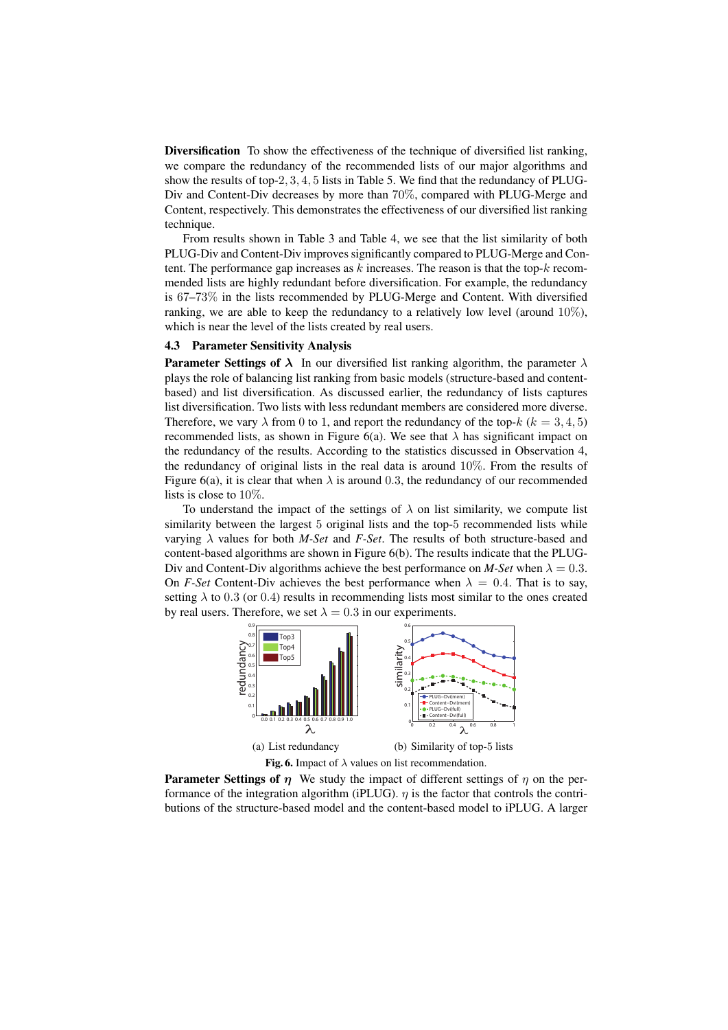Diversification To show the effectiveness of the technique of diversified list ranking, we compare the redundancy of the recommended lists of our major algorithms and show the results of top-2*,* 3*,* 4*,* 5 lists in Table 5. We find that the redundancy of PLUG-Div and Content-Div decreases by more than 70%, compared with PLUG-Merge and Content, respectively. This demonstrates the effectiveness of our diversified list ranking technique.

From results shown in Table 3 and Table 4, we see that the list similarity of both PLUG-Div and Content-Div improves significantly compared to PLUG-Merge and Content. The performance gap increases as *k* increases. The reason is that the top-*k* recommended lists are highly redundant before diversification. For example, the redundancy is 67–73% in the lists recommended by PLUG-Merge and Content. With diversified ranking, we are able to keep the redundancy to a relatively low level (around 10%), which is near the level of the lists created by real users.

#### 4.3 Parameter Sensitivity Analysis

**Parameter Settings of**  $\lambda$  In our diversified list ranking algorithm, the parameter  $\lambda$ plays the role of balancing list ranking from basic models (structure-based and contentbased) and list diversification. As discussed earlier, the redundancy of lists captures list diversification. Two lists with less redundant members are considered more diverse. Therefore, we vary  $\lambda$  from 0 to 1, and report the redundancy of the top- $k$  ( $k = 3, 4, 5$ ) recommended lists, as shown in Figure 6(a). We see that  $\lambda$  has significant impact on the redundancy of the results. According to the statistics discussed in Observation 4, the redundancy of original lists in the real data is around  $10\%$ . From the results of Figure 6(a), it is clear that when  $\lambda$  is around 0.3, the redundancy of our recommended lists is close to 10%.

To understand the impact of the settings of  $\lambda$  on list similarity, we compute list similarity between the largest 5 original lists and the top-5 recommended lists while varying *λ* values for both *M-Set* and *F-Set*. The results of both structure-based and content-based algorithms are shown in Figure 6(b). The results indicate that the PLUG-Div and Content-Div algorithms achieve the best performance on *M-Set* when  $\lambda = 0.3$ . On *F-Set* Content-Div achieves the best performance when  $\lambda = 0.4$ . That is to say, setting  $\lambda$  to 0.3 (or 0.4) results in recommending lists most similar to the ones created by real users. Therefore, we set  $\lambda = 0.3$  in our experiments.



Parameter Settings of *η* We study the impact of different settings of *η* on the performance of the integration algorithm (iPLUG).  $\eta$  is the factor that controls the contributions of the structure-based model and the content-based model to iPLUG. A larger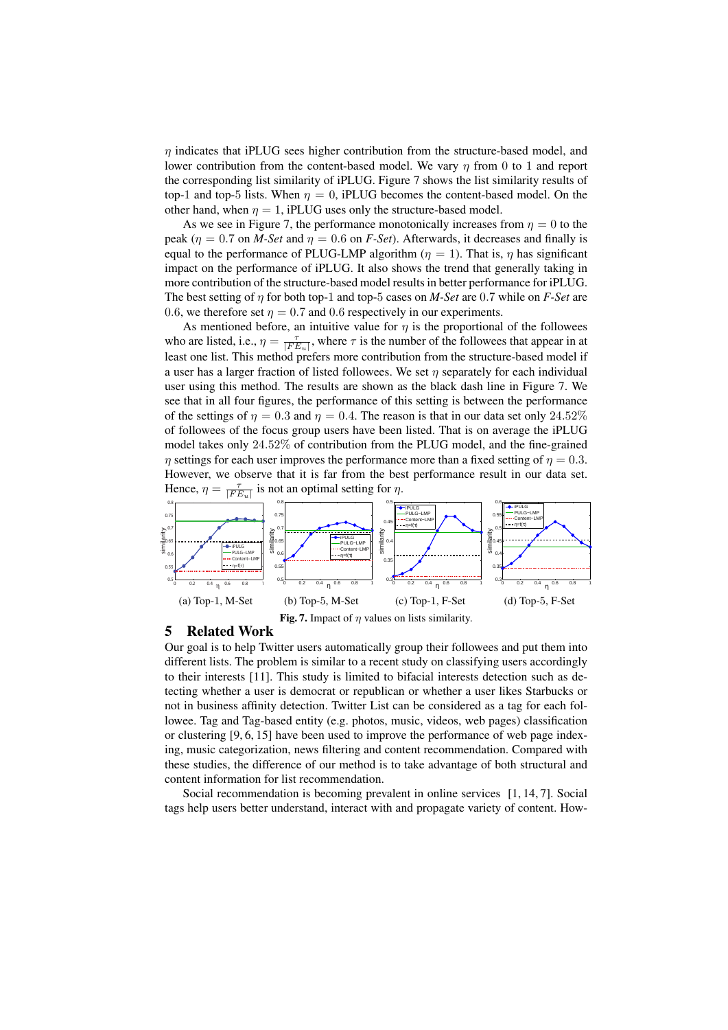*η* indicates that iPLUG sees higher contribution from the structure-based model, and lower contribution from the content-based model. We vary *η* from 0 to 1 and report the corresponding list similarity of iPLUG. Figure 7 shows the list similarity results of top-1 and top-5 lists. When  $\eta = 0$ , iPLUG becomes the content-based model. On the other hand, when  $\eta = 1$ , iPLUG uses only the structure-based model.

As we see in Figure 7, the performance monotonically increases from  $\eta = 0$  to the peak ( $\eta = 0.7$  on *M-Set* and  $\eta = 0.6$  on *F-Set*). Afterwards, it decreases and finally is equal to the performance of PLUG-LMP algorithm ( $\eta = 1$ ). That is,  $\eta$  has significant impact on the performance of iPLUG. It also shows the trend that generally taking in more contribution of the structure-based model results in better performance for iPLUG. The best setting of *η* for both top-1 and top-5 cases on *M-Set* are 0*.*7 while on *F-Set* are 0.6, we therefore set  $\eta = 0.7$  and 0.6 respectively in our experiments.

As mentioned before, an intuitive value for  $\eta$  is the proportional of the followees who are listed, i.e.,  $\eta = \frac{\tau}{|FE_u|}$ , where  $\tau$  is the number of the followees that appear in at least one list. This method prefers more contribution from the structure-based model if a user has a larger fraction of listed followees. We set *η* separately for each individual user using this method. The results are shown as the black dash line in Figure 7. We see that in all four figures, the performance of this setting is between the performance of the settings of  $\eta = 0.3$  and  $\eta = 0.4$ . The reason is that in our data set only 24.52% of followees of the focus group users have been listed. That is on average the iPLUG model takes only 24*.*52% of contribution from the PLUG model, and the fine-grained *η* settings for each user improves the performance more than a fixed setting of  $\eta = 0.3$ . However, we observe that it is far from the best performance result in our data set. Hence,  $\eta =$ *τ |F Eu|* is not an optimal setting for  $\eta$ .



# 5 Related Work

Our goal is to help Twitter users automatically group their followees and put them into different lists. The problem is similar to a recent study on classifying users accordingly to their interests [11]. This study is limited to bifacial interests detection such as detecting whether a user is democrat or republican or whether a user likes Starbucks or not in business affinity detection. Twitter List can be considered as a tag for each followee. Tag and Tag-based entity (e.g. photos, music, videos, web pages) classification or clustering [9, 6, 15] have been used to improve the performance of web page indexing, music categorization, news filtering and content recommendation. Compared with these studies, the difference of our method is to take advantage of both structural and content information for list recommendation.

Social recommendation is becoming prevalent in online services [1, 14, 7]. Social tags help users better understand, interact with and propagate variety of content. How